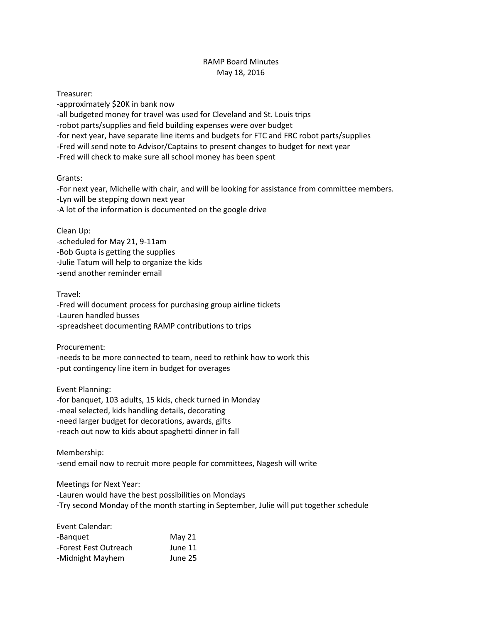## RAMP Board Minutes May 18, 2016

Treasurer:

-approximately \$20K in bank now -all budgeted money for travel was used for Cleveland and St. Louis trips -robot parts/supplies and field building expenses were over budget -for next year, have separate line items and budgets for FTC and FRC robot parts/supplies -Fred will send note to Advisor/Captains to present changes to budget for next year -Fred will check to make sure all school money has been spent

## Grants:

-For next year, Michelle with chair, and will be looking for assistance from committee members. -Lyn will be stepping down next year -A lot of the information is documented on the google drive

Clean Up:

-scheduled for May 21, 9-11am -Bob Gupta is getting the supplies -Julie Tatum will help to organize the kids

-send another reminder email

Travel:

-Fred will document process for purchasing group airline tickets -Lauren handled busses -spreadsheet documenting RAMP contributions to trips

Procurement:

-needs to be more connected to team, need to rethink how to work this -put contingency line item in budget for overages

Event Planning:

-for banquet, 103 adults, 15 kids, check turned in Monday -meal selected, kids handling details, decorating -need larger budget for decorations, awards, gifts -reach out now to kids about spaghetti dinner in fall

Membership:

-send email now to recruit more people for committees, Nagesh will write

Meetings for Next Year:

-Lauren would have the best possibilities on Mondays

-Try second Monday of the month starting in September, Julie will put together schedule

| Event Calendar:       |          |
|-----------------------|----------|
| -Banguet              | May $21$ |
| -Forest Fest Outreach | June 11  |
| -Midnight Mayhem      | June 25  |